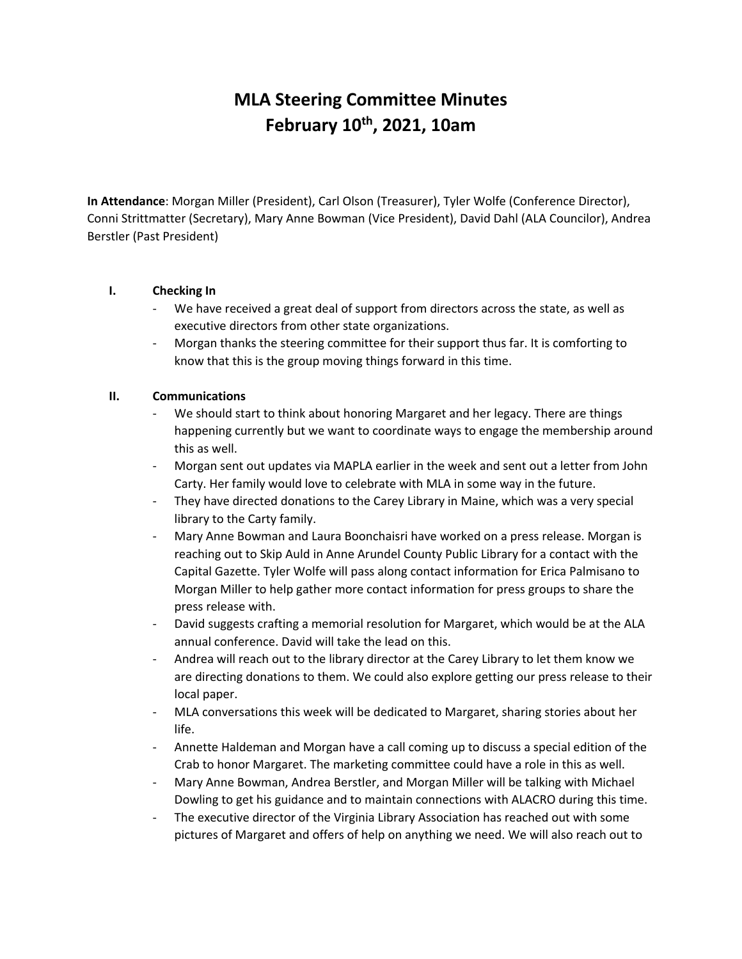# **MLA Steering Committee Minutes February 10th, 2021, 10am**

**In Attendance**: Morgan Miller (President), Carl Olson (Treasurer), Tyler Wolfe (Conference Director), Conni Strittmatter (Secretary), Mary Anne Bowman (Vice President), David Dahl (ALA Councilor), Andrea Berstler (Past President)

## **I. Checking In**

- We have received a great deal of support from directors across the state, as well as executive directors from other state organizations.
- Morgan thanks the steering committee for their support thus far. It is comforting to know that this is the group moving things forward in this time.

## **II. Communications**

- We should start to think about honoring Margaret and her legacy. There are things happening currently but we want to coordinate ways to engage the membership around this as well.
- Morgan sent out updates via MAPLA earlier in the week and sent out a letter from John Carty. Her family would love to celebrate with MLA in some way in the future.
- They have directed donations to the Carey Library in Maine, which was a very special library to the Carty family.
- Mary Anne Bowman and Laura Boonchaisri have worked on a press release. Morgan is reaching out to Skip Auld in Anne Arundel County Public Library for a contact with the Capital Gazette. Tyler Wolfe will pass along contact information for Erica Palmisano to Morgan Miller to help gather more contact information for press groups to share the press release with.
- David suggests crafting a memorial resolution for Margaret, which would be at the ALA annual conference. David will take the lead on this.
- Andrea will reach out to the library director at the Carey Library to let them know we are directing donations to them. We could also explore getting our press release to their local paper.
- MLA conversations this week will be dedicated to Margaret, sharing stories about her life.
- Annette Haldeman and Morgan have a call coming up to discuss a special edition of the Crab to honor Margaret. The marketing committee could have a role in this as well.
- Mary Anne Bowman, Andrea Berstler, and Morgan Miller will be talking with Michael Dowling to get his guidance and to maintain connections with ALACRO during this time.
- The executive director of the Virginia Library Association has reached out with some pictures of Margaret and offers of help on anything we need. We will also reach out to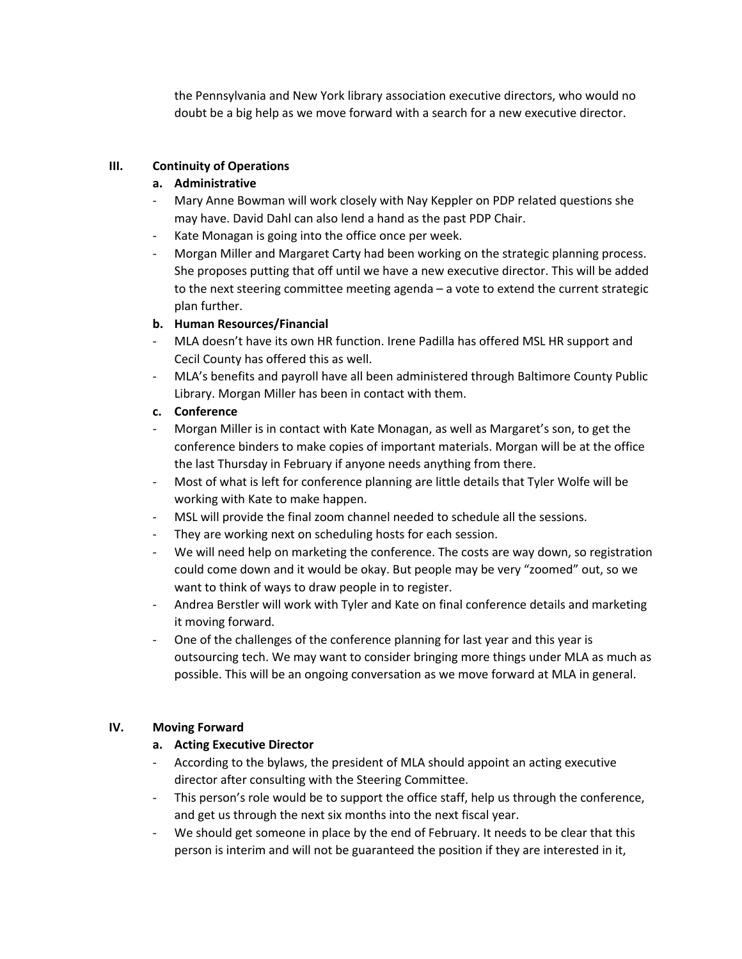the Pennsylvania and New York library association executive directors, who would no doubt be a big help as we move forward with a search for a new executive director.

## **III. Continuity of Operations**

## **a. Administrative**

- Mary Anne Bowman will work closely with Nay Keppler on PDP related questions she may have. David Dahl can also lend a hand as the past PDP Chair.
- Kate Monagan is going into the office once per week.
- Morgan Miller and Margaret Carty had been working on the strategic planning process. She proposes putting that off until we have a new executive director. This will be added to the next steering committee meeting agenda – a vote to extend the current strategic plan further.

## **b. Human Resources/Financial**

- MLA doesn't have its own HR function. Irene Padilla has offered MSL HR support and Cecil County has offered this as well.
- MLA's benefits and payroll have all been administered through Baltimore County Public Library. Morgan Miller has been in contact with them.
- **c. Conference**
- Morgan Miller is in contact with Kate Monagan, as well as Margaret's son, to get the conference binders to make copies of important materials. Morgan will be at the office the last Thursday in February if anyone needs anything from there.
- Most of what is left for conference planning are little details that Tyler Wolfe will be working with Kate to make happen.
- MSL will provide the final zoom channel needed to schedule all the sessions.
- They are working next on scheduling hosts for each session.
- We will need help on marketing the conference. The costs are way down, so registration could come down and it would be okay. But people may be very "zoomed" out, so we want to think of ways to draw people in to register.
- Andrea Berstler will work with Tyler and Kate on final conference details and marketing it moving forward.
- One of the challenges of the conference planning for last year and this year is outsourcing tech. We may want to consider bringing more things under MLA as much as possible. This will be an ongoing conversation as we move forward at MLA in general.

#### **IV. Moving Forward**

#### **a. Acting Executive Director**

- According to the bylaws, the president of MLA should appoint an acting executive director after consulting with the Steering Committee.
- This person's role would be to support the office staff, help us through the conference, and get us through the next six months into the next fiscal year.
- We should get someone in place by the end of February. It needs to be clear that this person is interim and will not be guaranteed the position if they are interested in it,